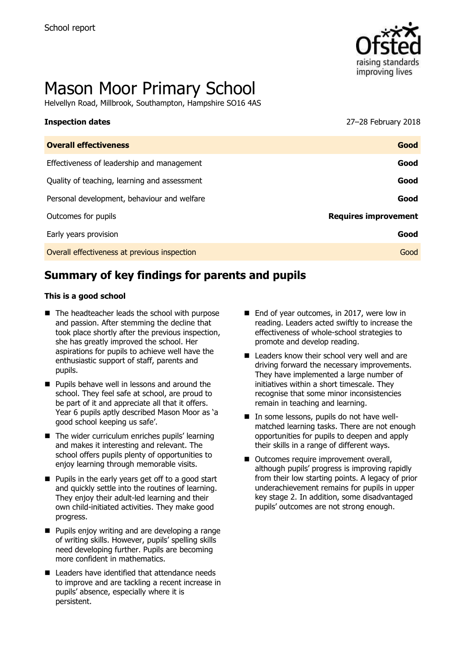

# Mason Moor Primary School

Helvellyn Road, Millbrook, Southampton, Hampshire SO16 4AS

## **Inspection dates** 27–28 February 2018

| <b>Overall effectiveness</b>                 | Good                        |
|----------------------------------------------|-----------------------------|
| Effectiveness of leadership and management   | Good                        |
| Quality of teaching, learning and assessment | Good                        |
| Personal development, behaviour and welfare  | Good                        |
| Outcomes for pupils                          | <b>Requires improvement</b> |
| Early years provision                        | Good                        |
| Overall effectiveness at previous inspection | Good                        |
|                                              |                             |

# **Summary of key findings for parents and pupils**

#### **This is a good school**

- The headteacher leads the school with purpose and passion. After stemming the decline that took place shortly after the previous inspection, she has greatly improved the school. Her aspirations for pupils to achieve well have the enthusiastic support of staff, parents and pupils.
- **Pupils behave well in lessons and around the** school. They feel safe at school, are proud to be part of it and appreciate all that it offers. Year 6 pupils aptly described Mason Moor as 'a good school keeping us safe'.
- $\blacksquare$  The wider curriculum enriches pupils' learning and makes it interesting and relevant. The school offers pupils plenty of opportunities to enjoy learning through memorable visits.
- $\blacksquare$  Pupils in the early years get off to a good start and quickly settle into the routines of learning. They enjoy their adult-led learning and their own child-initiated activities. They make good progress.
- **Pupils enjoy writing and are developing a range** of writing skills. However, pupils' spelling skills need developing further. Pupils are becoming more confident in mathematics.
- Leaders have identified that attendance needs to improve and are tackling a recent increase in pupils' absence, especially where it is persistent.
- End of year outcomes, in 2017, were low in reading. Leaders acted swiftly to increase the effectiveness of whole-school strategies to promote and develop reading.
- Leaders know their school very well and are driving forward the necessary improvements. They have implemented a large number of initiatives within a short timescale. They recognise that some minor inconsistencies remain in teaching and learning.
- In some lessons, pupils do not have wellmatched learning tasks. There are not enough opportunities for pupils to deepen and apply their skills in a range of different ways.
- Outcomes require improvement overall, although pupils' progress is improving rapidly from their low starting points. A legacy of prior underachievement remains for pupils in upper key stage 2. In addition, some disadvantaged pupils' outcomes are not strong enough.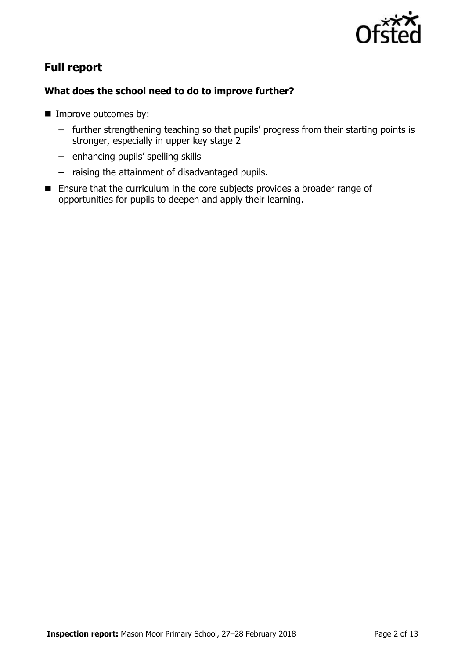

# **Full report**

#### **What does the school need to do to improve further?**

- **Improve outcomes by:** 
	- further strengthening teaching so that pupils' progress from their starting points is stronger, especially in upper key stage 2
	- enhancing pupils' spelling skills
	- raising the attainment of disadvantaged pupils.
- **Ensure that the curriculum in the core subjects provides a broader range of** opportunities for pupils to deepen and apply their learning.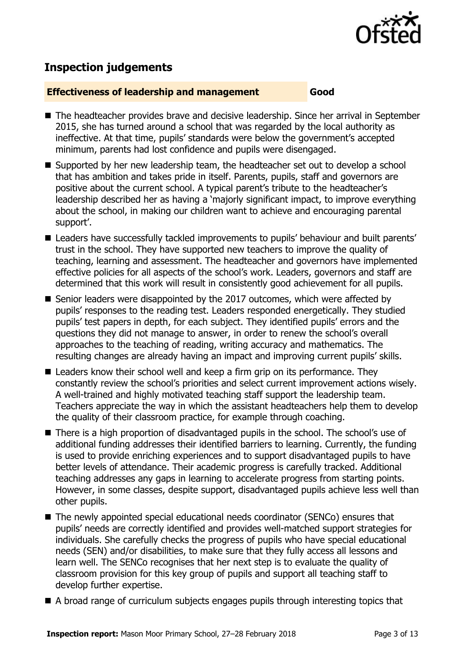

# **Inspection judgements**

#### **Effectiveness of leadership and management Good**

- The headteacher provides brave and decisive leadership. Since her arrival in September 2015, she has turned around a school that was regarded by the local authority as ineffective. At that time, pupils' standards were below the government's accepted minimum, parents had lost confidence and pupils were disengaged.
- Supported by her new leadership team, the headteacher set out to develop a school that has ambition and takes pride in itself. Parents, pupils, staff and governors are positive about the current school. A typical parent's tribute to the headteacher's leadership described her as having a 'majorly significant impact, to improve everything about the school, in making our children want to achieve and encouraging parental support'.
- Leaders have successfully tackled improvements to pupils' behaviour and built parents' trust in the school. They have supported new teachers to improve the quality of teaching, learning and assessment. The headteacher and governors have implemented effective policies for all aspects of the school's work. Leaders, governors and staff are determined that this work will result in consistently good achievement for all pupils.
- Senior leaders were disappointed by the 2017 outcomes, which were affected by pupils' responses to the reading test. Leaders responded energetically. They studied pupils' test papers in depth, for each subject. They identified pupils' errors and the questions they did not manage to answer, in order to renew the school's overall approaches to the teaching of reading, writing accuracy and mathematics. The resulting changes are already having an impact and improving current pupils' skills.
- Leaders know their school well and keep a firm grip on its performance. They constantly review the school's priorities and select current improvement actions wisely. A well-trained and highly motivated teaching staff support the leadership team. Teachers appreciate the way in which the assistant headteachers help them to develop the quality of their classroom practice, for example through coaching.
- There is a high proportion of disadvantaged pupils in the school. The school's use of additional funding addresses their identified barriers to learning. Currently, the funding is used to provide enriching experiences and to support disadvantaged pupils to have better levels of attendance. Their academic progress is carefully tracked. Additional teaching addresses any gaps in learning to accelerate progress from starting points. However, in some classes, despite support, disadvantaged pupils achieve less well than other pupils.
- The newly appointed special educational needs coordinator (SENCo) ensures that pupils' needs are correctly identified and provides well-matched support strategies for individuals. She carefully checks the progress of pupils who have special educational needs (SEN) and/or disabilities, to make sure that they fully access all lessons and learn well. The SENCo recognises that her next step is to evaluate the quality of classroom provision for this key group of pupils and support all teaching staff to develop further expertise.
- A broad range of curriculum subjects engages pupils through interesting topics that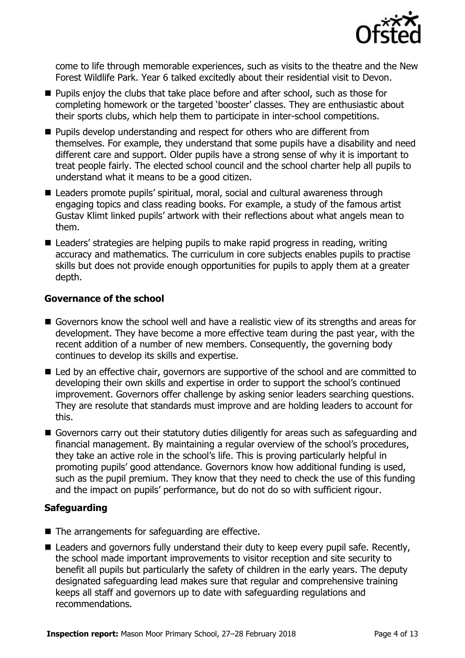

come to life through memorable experiences, such as visits to the theatre and the New Forest Wildlife Park. Year 6 talked excitedly about their residential visit to Devon.

- **Pupils enjoy the clubs that take place before and after school, such as those for** completing homework or the targeted 'booster' classes. They are enthusiastic about their sports clubs, which help them to participate in inter-school competitions.
- **Pupils develop understanding and respect for others who are different from** themselves. For example, they understand that some pupils have a disability and need different care and support. Older pupils have a strong sense of why it is important to treat people fairly. The elected school council and the school charter help all pupils to understand what it means to be a good citizen.
- Leaders promote pupils' spiritual, moral, social and cultural awareness through engaging topics and class reading books. For example, a study of the famous artist Gustav Klimt linked pupils' artwork with their reflections about what angels mean to them.
- Leaders' strategies are helping pupils to make rapid progress in reading, writing accuracy and mathematics. The curriculum in core subjects enables pupils to practise skills but does not provide enough opportunities for pupils to apply them at a greater depth.

#### **Governance of the school**

- Governors know the school well and have a realistic view of its strengths and areas for development. They have become a more effective team during the past year, with the recent addition of a number of new members. Consequently, the governing body continues to develop its skills and expertise.
- Led by an effective chair, governors are supportive of the school and are committed to developing their own skills and expertise in order to support the school's continued improvement. Governors offer challenge by asking senior leaders searching questions. They are resolute that standards must improve and are holding leaders to account for this.
- Governors carry out their statutory duties diligently for areas such as safeguarding and financial management. By maintaining a regular overview of the school's procedures, they take an active role in the school's life. This is proving particularly helpful in promoting pupils' good attendance. Governors know how additional funding is used, such as the pupil premium. They know that they need to check the use of this funding and the impact on pupils' performance, but do not do so with sufficient rigour.

#### **Safeguarding**

- The arrangements for safeguarding are effective.
- Leaders and governors fully understand their duty to keep every pupil safe. Recently, the school made important improvements to visitor reception and site security to benefit all pupils but particularly the safety of children in the early years. The deputy designated safeguarding lead makes sure that regular and comprehensive training keeps all staff and governors up to date with safeguarding regulations and recommendations.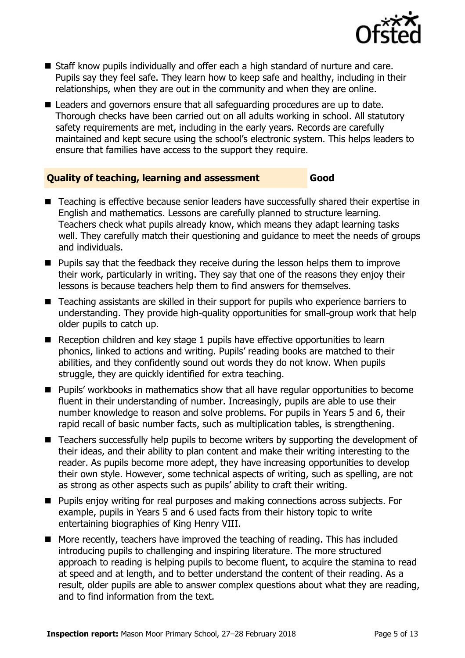

- Staff know pupils individually and offer each a high standard of nurture and care. Pupils say they feel safe. They learn how to keep safe and healthy, including in their relationships, when they are out in the community and when they are online.
- Leaders and governors ensure that all safeguarding procedures are up to date. Thorough checks have been carried out on all adults working in school. All statutory safety requirements are met, including in the early years. Records are carefully maintained and kept secure using the school's electronic system. This helps leaders to ensure that families have access to the support they require.

#### **Quality of teaching, learning and assessment Good**

- Teaching is effective because senior leaders have successfully shared their expertise in English and mathematics. Lessons are carefully planned to structure learning. Teachers check what pupils already know, which means they adapt learning tasks well. They carefully match their questioning and guidance to meet the needs of groups and individuals.
- **Pupils say that the feedback they receive during the lesson helps them to improve** their work, particularly in writing. They say that one of the reasons they enjoy their lessons is because teachers help them to find answers for themselves.
- Teaching assistants are skilled in their support for pupils who experience barriers to understanding. They provide high-quality opportunities for small-group work that help older pupils to catch up.
- Reception children and key stage 1 pupils have effective opportunities to learn phonics, linked to actions and writing. Pupils' reading books are matched to their abilities, and they confidently sound out words they do not know. When pupils struggle, they are quickly identified for extra teaching.
- **Pupils'** workbooks in mathematics show that all have regular opportunities to become fluent in their understanding of number. Increasingly, pupils are able to use their number knowledge to reason and solve problems. For pupils in Years 5 and 6, their rapid recall of basic number facts, such as multiplication tables, is strengthening.
- Teachers successfully help pupils to become writers by supporting the development of their ideas, and their ability to plan content and make their writing interesting to the reader. As pupils become more adept, they have increasing opportunities to develop their own style. However, some technical aspects of writing, such as spelling, are not as strong as other aspects such as pupils' ability to craft their writing.
- **Pupils enjoy writing for real purposes and making connections across subjects. For** example, pupils in Years 5 and 6 used facts from their history topic to write entertaining biographies of King Henry VIII.
- More recently, teachers have improved the teaching of reading. This has included introducing pupils to challenging and inspiring literature. The more structured approach to reading is helping pupils to become fluent, to acquire the stamina to read at speed and at length, and to better understand the content of their reading. As a result, older pupils are able to answer complex questions about what they are reading, and to find information from the text.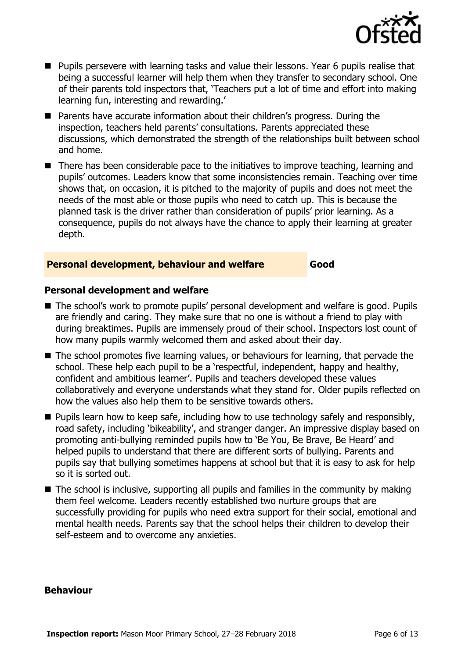

- **Pupils persevere with learning tasks and value their lessons. Year 6 pupils realise that** being a successful learner will help them when they transfer to secondary school. One of their parents told inspectors that, 'Teachers put a lot of time and effort into making learning fun, interesting and rewarding.'
- Parents have accurate information about their children's progress. During the inspection, teachers held parents' consultations. Parents appreciated these discussions, which demonstrated the strength of the relationships built between school and home.
- There has been considerable pace to the initiatives to improve teaching, learning and pupils' outcomes. Leaders know that some inconsistencies remain. Teaching over time shows that, on occasion, it is pitched to the majority of pupils and does not meet the needs of the most able or those pupils who need to catch up. This is because the planned task is the driver rather than consideration of pupils' prior learning. As a consequence, pupils do not always have the chance to apply their learning at greater depth.

#### **Personal development, behaviour and welfare Good**

#### **Personal development and welfare**

- The school's work to promote pupils' personal development and welfare is good. Pupils are friendly and caring. They make sure that no one is without a friend to play with during breaktimes. Pupils are immensely proud of their school. Inspectors lost count of how many pupils warmly welcomed them and asked about their day.
- The school promotes five learning values, or behaviours for learning, that pervade the school. These help each pupil to be a 'respectful, independent, happy and healthy, confident and ambitious learner'. Pupils and teachers developed these values collaboratively and everyone understands what they stand for. Older pupils reflected on how the values also help them to be sensitive towards others.
- **Pupils learn how to keep safe, including how to use technology safely and responsibly,** road safety, including 'bikeability', and stranger danger. An impressive display based on promoting anti-bullying reminded pupils how to 'Be You, Be Brave, Be Heard' and helped pupils to understand that there are different sorts of bullying. Parents and pupils say that bullying sometimes happens at school but that it is easy to ask for help so it is sorted out.
- $\blacksquare$  The school is inclusive, supporting all pupils and families in the community by making them feel welcome. Leaders recently established two nurture groups that are successfully providing for pupils who need extra support for their social, emotional and mental health needs. Parents say that the school helps their children to develop their self-esteem and to overcome any anxieties.

#### **Behaviour**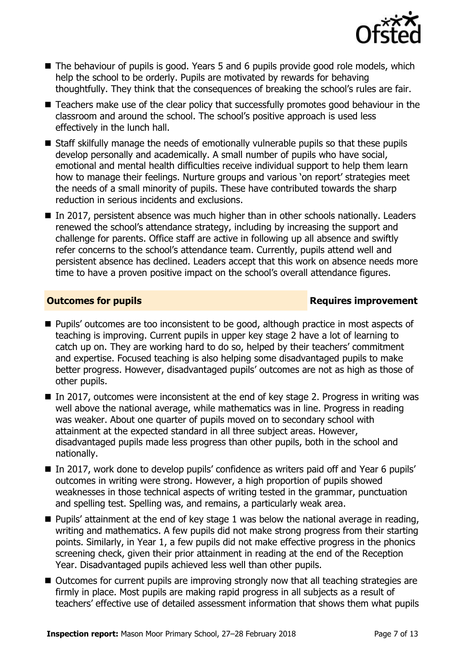

- The behaviour of pupils is good. Years 5 and 6 pupils provide good role models, which help the school to be orderly. Pupils are motivated by rewards for behaving thoughtfully. They think that the consequences of breaking the school's rules are fair.
- Teachers make use of the clear policy that successfully promotes good behaviour in the classroom and around the school. The school's positive approach is used less effectively in the lunch hall.
- Staff skilfully manage the needs of emotionally vulnerable pupils so that these pupils develop personally and academically. A small number of pupils who have social, emotional and mental health difficulties receive individual support to help them learn how to manage their feelings. Nurture groups and various 'on report' strategies meet the needs of a small minority of pupils. These have contributed towards the sharp reduction in serious incidents and exclusions.
- In 2017, persistent absence was much higher than in other schools nationally. Leaders renewed the school's attendance strategy, including by increasing the support and challenge for parents. Office staff are active in following up all absence and swiftly refer concerns to the school's attendance team. Currently, pupils attend well and persistent absence has declined. Leaders accept that this work on absence needs more time to have a proven positive impact on the school's overall attendance figures.

### **Outcomes for pupils Requires improvement**

- Pupils' outcomes are too inconsistent to be good, although practice in most aspects of teaching is improving. Current pupils in upper key stage 2 have a lot of learning to catch up on. They are working hard to do so, helped by their teachers' commitment and expertise. Focused teaching is also helping some disadvantaged pupils to make better progress. However, disadvantaged pupils' outcomes are not as high as those of other pupils.
- $\blacksquare$  In 2017, outcomes were inconsistent at the end of key stage 2. Progress in writing was well above the national average, while mathematics was in line. Progress in reading was weaker. About one quarter of pupils moved on to secondary school with attainment at the expected standard in all three subject areas. However, disadvantaged pupils made less progress than other pupils, both in the school and nationally.
- In 2017, work done to develop pupils' confidence as writers paid off and Year 6 pupils' outcomes in writing were strong. However, a high proportion of pupils showed weaknesses in those technical aspects of writing tested in the grammar, punctuation and spelling test. Spelling was, and remains, a particularly weak area.
- $\blacksquare$  Pupils' attainment at the end of key stage 1 was below the national average in reading, writing and mathematics. A few pupils did not make strong progress from their starting points. Similarly, in Year 1, a few pupils did not make effective progress in the phonics screening check, given their prior attainment in reading at the end of the Reception Year. Disadvantaged pupils achieved less well than other pupils.
- Outcomes for current pupils are improving strongly now that all teaching strategies are firmly in place. Most pupils are making rapid progress in all subjects as a result of teachers' effective use of detailed assessment information that shows them what pupils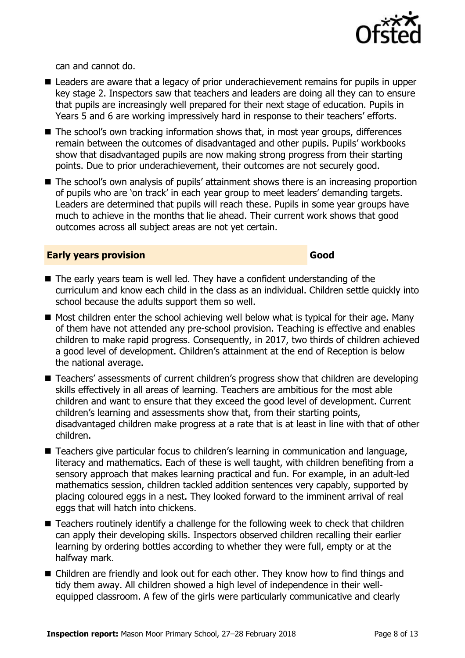can and cannot do.

- Leaders are aware that a legacy of prior underachievement remains for pupils in upper key stage 2. Inspectors saw that teachers and leaders are doing all they can to ensure that pupils are increasingly well prepared for their next stage of education. Pupils in Years 5 and 6 are working impressively hard in response to their teachers' efforts.
- The school's own tracking information shows that, in most year groups, differences remain between the outcomes of disadvantaged and other pupils. Pupils' workbooks show that disadvantaged pupils are now making strong progress from their starting points. Due to prior underachievement, their outcomes are not securely good.
- The school's own analysis of pupils' attainment shows there is an increasing proportion of pupils who are 'on track' in each year group to meet leaders' demanding targets. Leaders are determined that pupils will reach these. Pupils in some year groups have much to achieve in the months that lie ahead. Their current work shows that good outcomes across all subject areas are not yet certain.

#### **Early years provision Good Good**

- The early years team is well led. They have a confident understanding of the curriculum and know each child in the class as an individual. Children settle quickly into school because the adults support them so well.
- $\blacksquare$  Most children enter the school achieving well below what is typical for their age. Many of them have not attended any pre-school provision. Teaching is effective and enables children to make rapid progress. Consequently, in 2017, two thirds of children achieved a good level of development. Children's attainment at the end of Reception is below the national average.
- Teachers' assessments of current children's progress show that children are developing skills effectively in all areas of learning. Teachers are ambitious for the most able children and want to ensure that they exceed the good level of development. Current children's learning and assessments show that, from their starting points, disadvantaged children make progress at a rate that is at least in line with that of other children.
- Teachers give particular focus to children's learning in communication and language, literacy and mathematics. Each of these is well taught, with children benefiting from a sensory approach that makes learning practical and fun. For example, in an adult-led mathematics session, children tackled addition sentences very capably, supported by placing coloured eggs in a nest. They looked forward to the imminent arrival of real eggs that will hatch into chickens.
- Teachers routinely identify a challenge for the following week to check that children can apply their developing skills. Inspectors observed children recalling their earlier learning by ordering bottles according to whether they were full, empty or at the halfway mark.
- Children are friendly and look out for each other. They know how to find things and tidy them away. All children showed a high level of independence in their wellequipped classroom. A few of the girls were particularly communicative and clearly

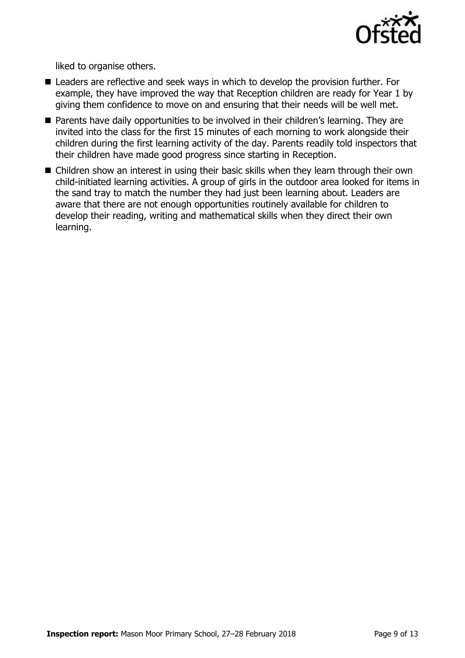

liked to organise others.

- Leaders are reflective and seek ways in which to develop the provision further. For example, they have improved the way that Reception children are ready for Year 1 by giving them confidence to move on and ensuring that their needs will be well met.
- **Parents have daily opportunities to be involved in their children's learning. They are** invited into the class for the first 15 minutes of each morning to work alongside their children during the first learning activity of the day. Parents readily told inspectors that their children have made good progress since starting in Reception.
- Children show an interest in using their basic skills when they learn through their own child-initiated learning activities. A group of girls in the outdoor area looked for items in the sand tray to match the number they had just been learning about. Leaders are aware that there are not enough opportunities routinely available for children to develop their reading, writing and mathematical skills when they direct their own learning.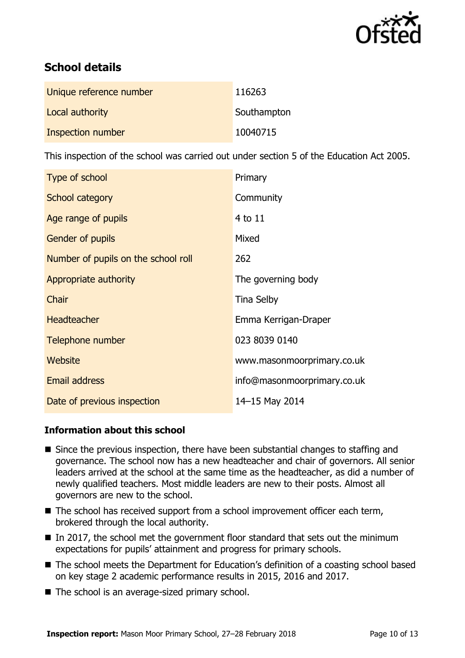

# **School details**

| Unique reference number | 116263      |
|-------------------------|-------------|
| Local authority         | Southampton |
| Inspection number       | 10040715    |

This inspection of the school was carried out under section 5 of the Education Act 2005.

| Type of school                      | Primary                     |
|-------------------------------------|-----------------------------|
| School category                     | Community                   |
| Age range of pupils                 | 4 to 11                     |
| <b>Gender of pupils</b>             | Mixed                       |
| Number of pupils on the school roll | 262                         |
| Appropriate authority               | The governing body          |
| Chair                               | <b>Tina Selby</b>           |
| <b>Headteacher</b>                  | Emma Kerrigan-Draper        |
| Telephone number                    | 023 8039 0140               |
| Website                             | www.masonmoorprimary.co.uk  |
| <b>Email address</b>                | info@masonmoorprimary.co.uk |
| Date of previous inspection         | 14-15 May 2014              |

#### **Information about this school**

- Since the previous inspection, there have been substantial changes to staffing and governance. The school now has a new headteacher and chair of governors. All senior leaders arrived at the school at the same time as the headteacher, as did a number of newly qualified teachers. Most middle leaders are new to their posts. Almost all governors are new to the school.
- The school has received support from a school improvement officer each term, brokered through the local authority.
- In 2017, the school met the government floor standard that sets out the minimum expectations for pupils' attainment and progress for primary schools.
- The school meets the Department for Education's definition of a coasting school based on key stage 2 academic performance results in 2015, 2016 and 2017.
- The school is an average-sized primary school.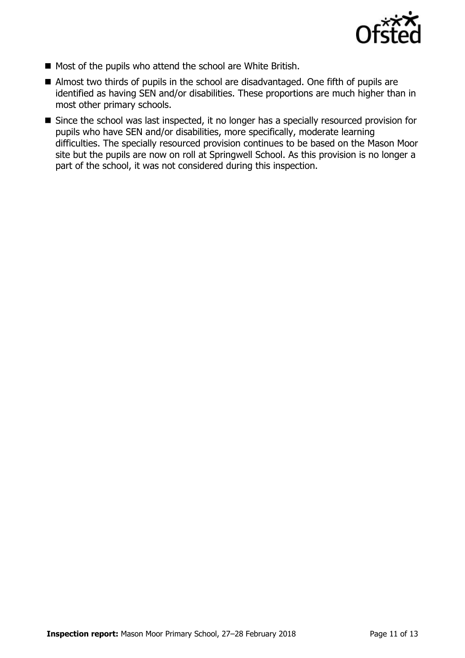

- Most of the pupils who attend the school are White British.
- Almost two thirds of pupils in the school are disadvantaged. One fifth of pupils are identified as having SEN and/or disabilities. These proportions are much higher than in most other primary schools.
- Since the school was last inspected, it no longer has a specially resourced provision for pupils who have SEN and/or disabilities, more specifically, moderate learning difficulties. The specially resourced provision continues to be based on the Mason Moor site but the pupils are now on roll at Springwell School. As this provision is no longer a part of the school, it was not considered during this inspection.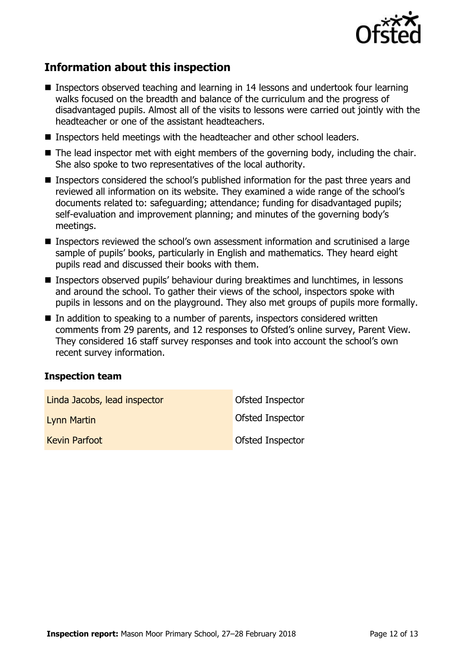

# **Information about this inspection**

- Inspectors observed teaching and learning in 14 lessons and undertook four learning walks focused on the breadth and balance of the curriculum and the progress of disadvantaged pupils. Almost all of the visits to lessons were carried out jointly with the headteacher or one of the assistant headteachers.
- Inspectors held meetings with the headteacher and other school leaders.
- The lead inspector met with eight members of the governing body, including the chair. She also spoke to two representatives of the local authority.
- **Inspectors considered the school's published information for the past three years and** reviewed all information on its website. They examined a wide range of the school's documents related to: safeguarding; attendance; funding for disadvantaged pupils; self-evaluation and improvement planning; and minutes of the governing body's meetings.
- Inspectors reviewed the school's own assessment information and scrutinised a large sample of pupils' books, particularly in English and mathematics. They heard eight pupils read and discussed their books with them.
- Inspectors observed pupils' behaviour during breaktimes and lunchtimes, in lessons and around the school. To gather their views of the school, inspectors spoke with pupils in lessons and on the playground. They also met groups of pupils more formally.
- In addition to speaking to a number of parents, inspectors considered written comments from 29 parents, and 12 responses to Ofsted's online survey, Parent View. They considered 16 staff survey responses and took into account the school's own recent survey information.

#### **Inspection team**

| Linda Jacobs, lead inspector | Ofsted Inspector |
|------------------------------|------------------|
| Lynn Martin                  | Ofsted Inspector |
| <b>Kevin Parfoot</b>         | Ofsted Inspector |